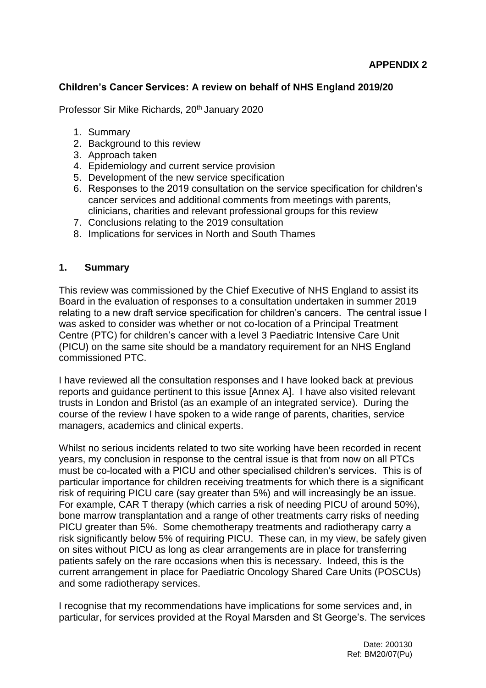#### **Children's Cancer Services: A review on behalf of NHS England 2019/20**

Professor Sir Mike Richards, 20<sup>th</sup> January 2020

- 1. Summary
- 2. Background to this review
- 3. Approach taken
- 4. Epidemiology and current service provision
- 5. Development of the new service specification
- 6. Responses to the 2019 consultation on the service specification for children's cancer services and additional comments from meetings with parents, clinicians, charities and relevant professional groups for this review
- 7. Conclusions relating to the 2019 consultation
- 8. Implications for services in North and South Thames

#### **1. Summary**

This review was commissioned by the Chief Executive of NHS England to assist its Board in the evaluation of responses to a consultation undertaken in summer 2019 relating to a new draft service specification for children's cancers. The central issue I was asked to consider was whether or not co-location of a Principal Treatment Centre (PTC) for children's cancer with a level 3 Paediatric Intensive Care Unit (PICU) on the same site should be a mandatory requirement for an NHS England commissioned PTC.

I have reviewed all the consultation responses and I have looked back at previous reports and guidance pertinent to this issue [Annex A]. I have also visited relevant trusts in London and Bristol (as an example of an integrated service). During the course of the review I have spoken to a wide range of parents, charities, service managers, academics and clinical experts.

Whilst no serious incidents related to two site working have been recorded in recent years, my conclusion in response to the central issue is that from now on all PTCs must be co-located with a PICU and other specialised children's services. This is of particular importance for children receiving treatments for which there is a significant risk of requiring PICU care (say greater than 5%) and will increasingly be an issue. For example, CAR T therapy (which carries a risk of needing PICU of around 50%), bone marrow transplantation and a range of other treatments carry risks of needing PICU greater than 5%. Some chemotherapy treatments and radiotherapy carry a risk significantly below 5% of requiring PICU. These can, in my view, be safely given on sites without PICU as long as clear arrangements are in place for transferring patients safely on the rare occasions when this is necessary. Indeed, this is the current arrangement in place for Paediatric Oncology Shared Care Units (POSCUs) and some radiotherapy services.

I recognise that my recommendations have implications for some services and, in particular, for services provided at the Royal Marsden and St George's. The services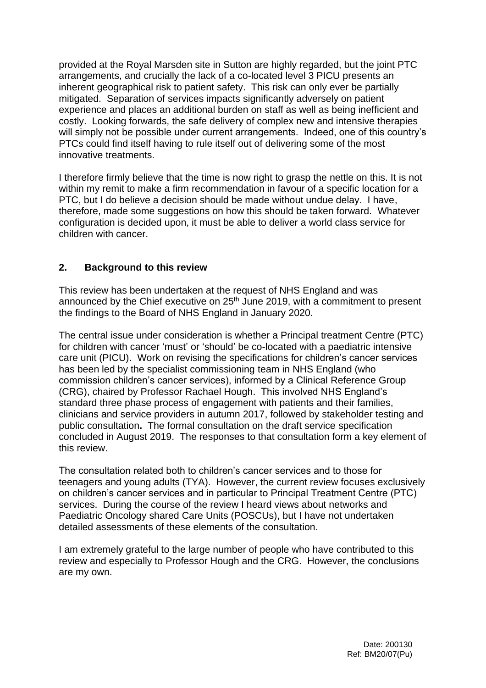provided at the Royal Marsden site in Sutton are highly regarded, but the joint PTC arrangements, and crucially the lack of a co-located level 3 PICU presents an inherent geographical risk to patient safety. This risk can only ever be partially mitigated. Separation of services impacts significantly adversely on patient experience and places an additional burden on staff as well as being inefficient and costly. Looking forwards, the safe delivery of complex new and intensive therapies will simply not be possible under current arrangements. Indeed, one of this country's PTCs could find itself having to rule itself out of delivering some of the most innovative treatments.

I therefore firmly believe that the time is now right to grasp the nettle on this. It is not within my remit to make a firm recommendation in favour of a specific location for a PTC, but I do believe a decision should be made without undue delay. I have, therefore, made some suggestions on how this should be taken forward. Whatever configuration is decided upon, it must be able to deliver a world class service for children with cancer.

## **2. Background to this review**

This review has been undertaken at the request of NHS England and was announced by the Chief executive on 25<sup>th</sup> June 2019, with a commitment to present the findings to the Board of NHS England in January 2020.

The central issue under consideration is whether a Principal treatment Centre (PTC) for children with cancer 'must' or 'should' be co-located with a paediatric intensive care unit (PICU). Work on revising the specifications for children's cancer services has been led by the specialist commissioning team in NHS England (who commission children's cancer services), informed by a Clinical Reference Group (CRG), chaired by Professor Rachael Hough. This involved NHS England's standard three phase process of engagement with patients and their families, clinicians and service providers in autumn 2017, followed by stakeholder testing and public consultation**.** The formal consultation on the draft service specification concluded in August 2019. The responses to that consultation form a key element of this review.

The consultation related both to children's cancer services and to those for teenagers and young adults (TYA). However, the current review focuses exclusively on children's cancer services and in particular to Principal Treatment Centre (PTC) services. During the course of the review I heard views about networks and Paediatric Oncology shared Care Units (POSCUs), but I have not undertaken detailed assessments of these elements of the consultation.

I am extremely grateful to the large number of people who have contributed to this review and especially to Professor Hough and the CRG. However, the conclusions are my own.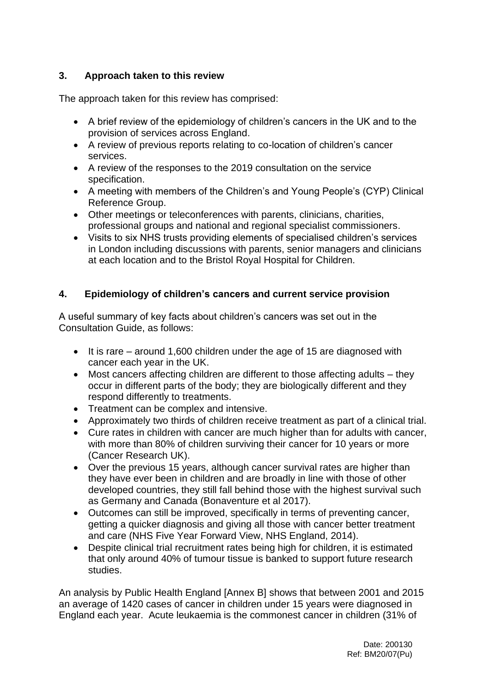## **3. Approach taken to this review**

The approach taken for this review has comprised:

- A brief review of the epidemiology of children's cancers in the UK and to the provision of services across England.
- A review of previous reports relating to co-location of children's cancer services.
- A review of the responses to the 2019 consultation on the service specification.
- A meeting with members of the Children's and Young People's (CYP) Clinical Reference Group.
- Other meetings or teleconferences with parents, clinicians, charities, professional groups and national and regional specialist commissioners.
- Visits to six NHS trusts providing elements of specialised children's services in London including discussions with parents, senior managers and clinicians at each location and to the Bristol Royal Hospital for Children.

## **4. Epidemiology of children's cancers and current service provision**

A useful summary of key facts about children's cancers was set out in the Consultation Guide, as follows:

- It is rare around 1,600 children under the age of 15 are diagnosed with cancer each year in the UK.
- Most cancers affecting children are different to those affecting adults they occur in different parts of the body; they are biologically different and they respond differently to treatments.
- Treatment can be complex and intensive.
- Approximately two thirds of children receive treatment as part of a clinical trial.
- Cure rates in children with cancer are much higher than for adults with cancer, with more than 80% of children surviving their cancer for 10 years or more (Cancer Research UK).
- Over the previous 15 years, although cancer survival rates are higher than they have ever been in children and are broadly in line with those of other developed countries, they still fall behind those with the highest survival such as Germany and Canada (Bonaventure et al 2017).
- Outcomes can still be improved, specifically in terms of preventing cancer, getting a quicker diagnosis and giving all those with cancer better treatment and care (NHS Five Year Forward View, NHS England, 2014).
- Despite clinical trial recruitment rates being high for children, it is estimated that only around 40% of tumour tissue is banked to support future research studies.

An analysis by Public Health England [Annex B] shows that between 2001 and 2015 an average of 1420 cases of cancer in children under 15 years were diagnosed in England each year. Acute leukaemia is the commonest cancer in children (31% of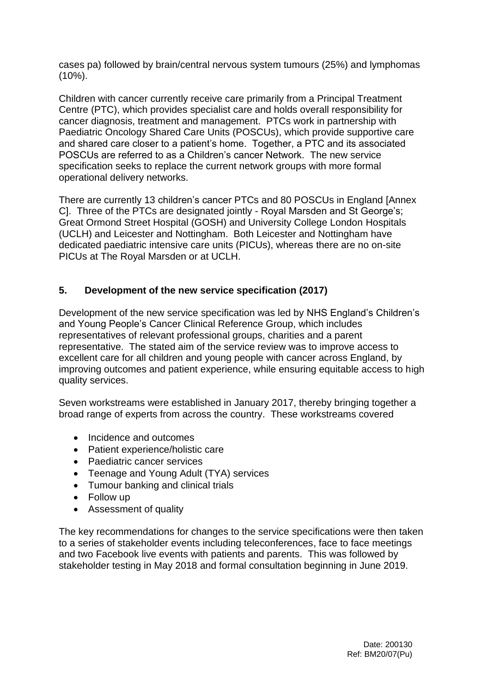cases pa) followed by brain/central nervous system tumours (25%) and lymphomas (10%).

Children with cancer currently receive care primarily from a Principal Treatment Centre (PTC), which provides specialist care and holds overall responsibility for cancer diagnosis, treatment and management. PTCs work in partnership with Paediatric Oncology Shared Care Units (POSCUs), which provide supportive care and shared care closer to a patient's home. Together, a PTC and its associated POSCUs are referred to as a Children's cancer Network. The new service specification seeks to replace the current network groups with more formal operational delivery networks.

There are currently 13 children's cancer PTCs and 80 POSCUs in England [Annex C]. Three of the PTCs are designated jointly - Royal Marsden and St George's; Great Ormond Street Hospital (GOSH) and University College London Hospitals (UCLH) and Leicester and Nottingham. Both Leicester and Nottingham have dedicated paediatric intensive care units (PICUs), whereas there are no on-site PICUs at The Royal Marsden or at UCLH.

## **5. Development of the new service specification (2017)**

Development of the new service specification was led by NHS England's Children's and Young People's Cancer Clinical Reference Group, which includes representatives of relevant professional groups, charities and a parent representative. The stated aim of the service review was to improve access to excellent care for all children and young people with cancer across England, by improving outcomes and patient experience, while ensuring equitable access to high quality services.

Seven workstreams were established in January 2017, thereby bringing together a broad range of experts from across the country. These workstreams covered

- Incidence and outcomes
- Patient experience/holistic care
- Paediatric cancer services
- Teenage and Young Adult (TYA) services
- Tumour banking and clinical trials
- Follow up
- Assessment of quality

The key recommendations for changes to the service specifications were then taken to a series of stakeholder events including teleconferences, face to face meetings and two Facebook live events with patients and parents. This was followed by stakeholder testing in May 2018 and formal consultation beginning in June 2019.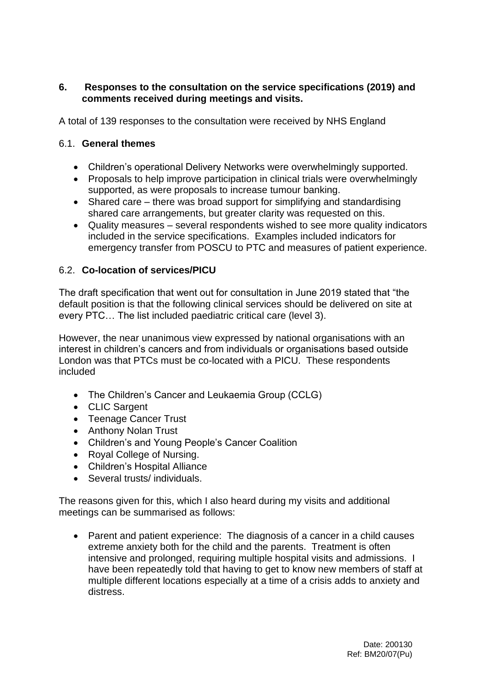#### **6. Responses to the consultation on the service specifications (2019) and comments received during meetings and visits.**

A total of 139 responses to the consultation were received by NHS England

#### 6.1. **General themes**

- Children's operational Delivery Networks were overwhelmingly supported.
- Proposals to help improve participation in clinical trials were overwhelmingly supported, as were proposals to increase tumour banking.
- Shared care there was broad support for simplifying and standardising shared care arrangements, but greater clarity was requested on this.
- Quality measures several respondents wished to see more quality indicators included in the service specifications. Examples included indicators for emergency transfer from POSCU to PTC and measures of patient experience.

## 6.2. **Co-location of services/PICU**

The draft specification that went out for consultation in June 2019 stated that "the default position is that the following clinical services should be delivered on site at every PTC… The list included paediatric critical care (level 3).

However, the near unanimous view expressed by national organisations with an interest in children's cancers and from individuals or organisations based outside London was that PTCs must be co-located with a PICU. These respondents included

- The Children's Cancer and Leukaemia Group (CCLG)
- CLIC Sargent
- Teenage Cancer Trust
- Anthony Nolan Trust
- Children's and Young People's Cancer Coalition
- Royal College of Nursing.
- Children's Hospital Alliance
- Several trusts/ individuals.

The reasons given for this, which I also heard during my visits and additional meetings can be summarised as follows:

• Parent and patient experience: The diagnosis of a cancer in a child causes extreme anxiety both for the child and the parents. Treatment is often intensive and prolonged, requiring multiple hospital visits and admissions. I have been repeatedly told that having to get to know new members of staff at multiple different locations especially at a time of a crisis adds to anxiety and distress.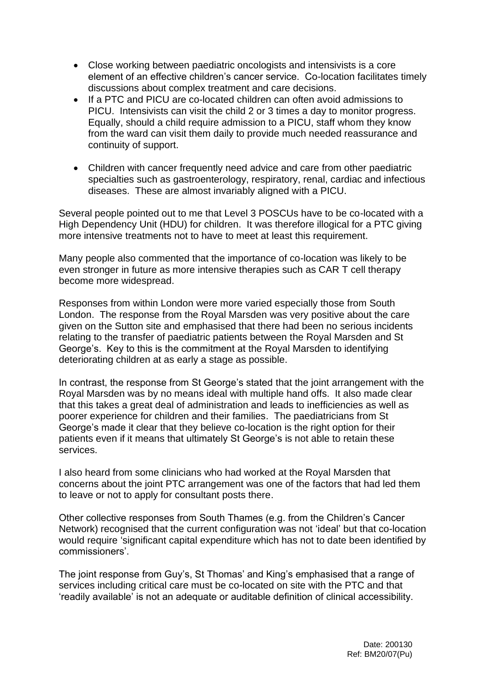- Close working between paediatric oncologists and intensivists is a core element of an effective children's cancer service. Co-location facilitates timely discussions about complex treatment and care decisions.
- If a PTC and PICU are co-located children can often avoid admissions to PICU. Intensivists can visit the child 2 or 3 times a day to monitor progress. Equally, should a child require admission to a PICU, staff whom they know from the ward can visit them daily to provide much needed reassurance and continuity of support.
- Children with cancer frequently need advice and care from other paediatric specialties such as gastroenterology, respiratory, renal, cardiac and infectious diseases. These are almost invariably aligned with a PICU.

Several people pointed out to me that Level 3 POSCUs have to be co-located with a High Dependency Unit (HDU) for children. It was therefore illogical for a PTC giving more intensive treatments not to have to meet at least this requirement.

Many people also commented that the importance of co-location was likely to be even stronger in future as more intensive therapies such as CAR T cell therapy become more widespread.

Responses from within London were more varied especially those from South London. The response from the Royal Marsden was very positive about the care given on the Sutton site and emphasised that there had been no serious incidents relating to the transfer of paediatric patients between the Royal Marsden and St George's. Key to this is the commitment at the Royal Marsden to identifying deteriorating children at as early a stage as possible.

In contrast, the response from St George's stated that the joint arrangement with the Royal Marsden was by no means ideal with multiple hand offs. It also made clear that this takes a great deal of administration and leads to inefficiencies as well as poorer experience for children and their families. The paediatricians from St George's made it clear that they believe co-location is the right option for their patients even if it means that ultimately St George's is not able to retain these services.

I also heard from some clinicians who had worked at the Royal Marsden that concerns about the joint PTC arrangement was one of the factors that had led them to leave or not to apply for consultant posts there.

Other collective responses from South Thames (e.g. from the Children's Cancer Network) recognised that the current configuration was not 'ideal' but that co-location would require 'significant capital expenditure which has not to date been identified by commissioners'.

The joint response from Guy's, St Thomas' and King's emphasised that a range of services including critical care must be co-located on site with the PTC and that 'readily available' is not an adequate or auditable definition of clinical accessibility.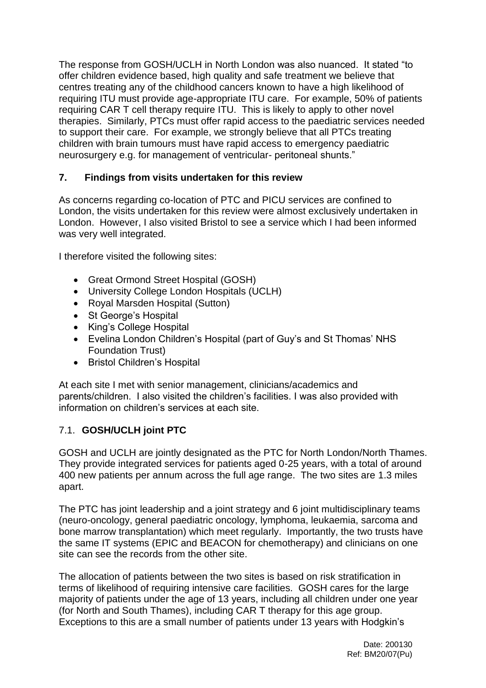The response from GOSH/UCLH in North London was also nuanced. It stated "to offer children evidence based, high quality and safe treatment we believe that centres treating any of the childhood cancers known to have a high likelihood of requiring ITU must provide age-appropriate ITU care. For example, 50% of patients requiring CAR T cell therapy require ITU. This is likely to apply to other novel therapies. Similarly, PTCs must offer rapid access to the paediatric services needed to support their care. For example, we strongly believe that all PTCs treating children with brain tumours must have rapid access to emergency paediatric neurosurgery e.g. for management of ventricular- peritoneal shunts."

## **7. Findings from visits undertaken for this review**

As concerns regarding co-location of PTC and PICU services are confined to London, the visits undertaken for this review were almost exclusively undertaken in London. However, I also visited Bristol to see a service which I had been informed was very well integrated.

I therefore visited the following sites:

- Great Ormond Street Hospital (GOSH)
- University College London Hospitals (UCLH)
- Royal Marsden Hospital (Sutton)
- St George's Hospital
- King's College Hospital
- Evelina London Children's Hospital (part of Guy's and St Thomas' NHS Foundation Trust)
- Bristol Children's Hospital

At each site I met with senior management, clinicians/academics and parents/children. I also visited the children's facilities. I was also provided with information on children's services at each site.

## 7.1. **GOSH/UCLH joint PTC**

GOSH and UCLH are jointly designated as the PTC for North London/North Thames. They provide integrated services for patients aged 0-25 years, with a total of around 400 new patients per annum across the full age range. The two sites are 1.3 miles apart.

The PTC has joint leadership and a joint strategy and 6 joint multidisciplinary teams (neuro-oncology, general paediatric oncology, lymphoma, leukaemia, sarcoma and bone marrow transplantation) which meet regularly. Importantly, the two trusts have the same IT systems (EPIC and BEACON for chemotherapy) and clinicians on one site can see the records from the other site.

The allocation of patients between the two sites is based on risk stratification in terms of likelihood of requiring intensive care facilities. GOSH cares for the large majority of patients under the age of 13 years, including all children under one year (for North and South Thames), including CAR T therapy for this age group. Exceptions to this are a small number of patients under 13 years with Hodgkin's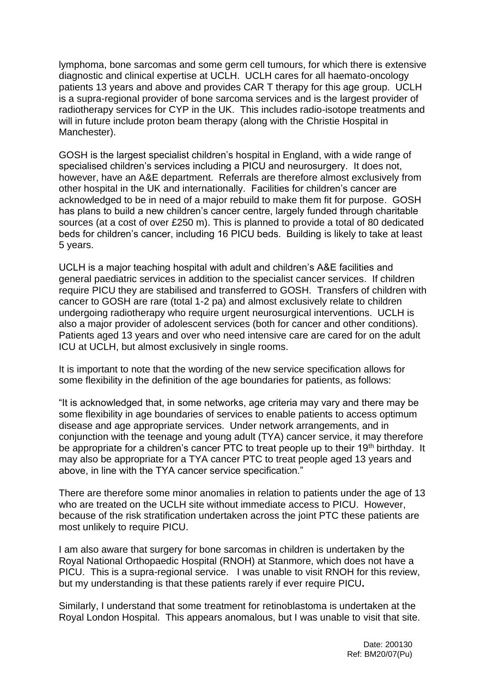lymphoma, bone sarcomas and some germ cell tumours, for which there is extensive diagnostic and clinical expertise at UCLH. UCLH cares for all haemato-oncology patients 13 years and above and provides CAR T therapy for this age group. UCLH is a supra-regional provider of bone sarcoma services and is the largest provider of radiotherapy services for CYP in the UK. This includes radio-isotope treatments and will in future include proton beam therapy (along with the Christie Hospital in Manchester).

GOSH is the largest specialist children's hospital in England, with a wide range of specialised children's services including a PICU and neurosurgery. It does not, however, have an A&E department. Referrals are therefore almost exclusively from other hospital in the UK and internationally. Facilities for children's cancer are acknowledged to be in need of a major rebuild to make them fit for purpose. GOSH has plans to build a new children's cancer centre, largely funded through charitable sources (at a cost of over £250 m). This is planned to provide a total of 80 dedicated beds for children's cancer, including 16 PICU beds. Building is likely to take at least 5 years.

UCLH is a major teaching hospital with adult and children's A&E facilities and general paediatric services in addition to the specialist cancer services. If children require PICU they are stabilised and transferred to GOSH. Transfers of children with cancer to GOSH are rare (total 1-2 pa) and almost exclusively relate to children undergoing radiotherapy who require urgent neurosurgical interventions. UCLH is also a major provider of adolescent services (both for cancer and other conditions). Patients aged 13 years and over who need intensive care are cared for on the adult ICU at UCLH, but almost exclusively in single rooms.

It is important to note that the wording of the new service specification allows for some flexibility in the definition of the age boundaries for patients, as follows:

"It is acknowledged that, in some networks, age criteria may vary and there may be some flexibility in age boundaries of services to enable patients to access optimum disease and age appropriate services. Under network arrangements, and in conjunction with the teenage and young adult (TYA) cancer service, it may therefore be appropriate for a children's cancer PTC to treat people up to their 19<sup>th</sup> birthday. It may also be appropriate for a TYA cancer PTC to treat people aged 13 years and above, in line with the TYA cancer service specification."

There are therefore some minor anomalies in relation to patients under the age of 13 who are treated on the UCLH site without immediate access to PICU. However, because of the risk stratification undertaken across the joint PTC these patients are most unlikely to require PICU.

I am also aware that surgery for bone sarcomas in children is undertaken by the Royal National Orthopaedic Hospital (RNOH) at Stanmore, which does not have a PICU. This is a supra-regional service. I was unable to visit RNOH for this review, but my understanding is that these patients rarely if ever require PICU**.**

Similarly, I understand that some treatment for retinoblastoma is undertaken at the Royal London Hospital. This appears anomalous, but I was unable to visit that site.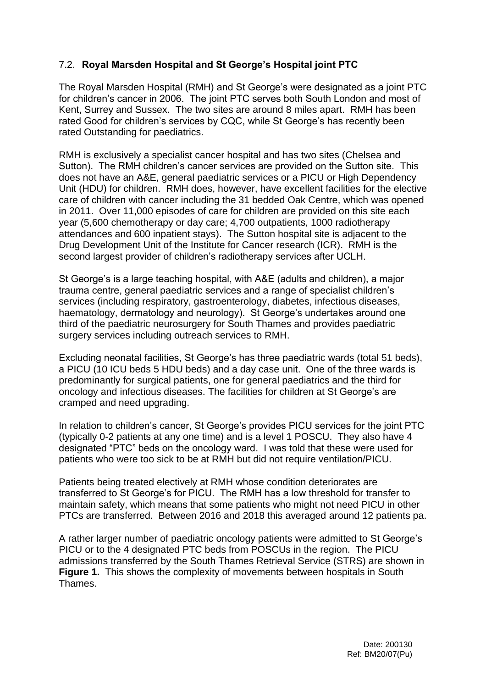## 7.2. **Royal Marsden Hospital and St George's Hospital joint PTC**

The Royal Marsden Hospital (RMH) and St George's were designated as a joint PTC for children's cancer in 2006. The joint PTC serves both South London and most of Kent, Surrey and Sussex. The two sites are around 8 miles apart. RMH has been rated Good for children's services by CQC, while St George's has recently been rated Outstanding for paediatrics.

RMH is exclusively a specialist cancer hospital and has two sites (Chelsea and Sutton). The RMH children's cancer services are provided on the Sutton site. This does not have an A&E, general paediatric services or a PICU or High Dependency Unit (HDU) for children. RMH does, however, have excellent facilities for the elective care of children with cancer including the 31 bedded Oak Centre, which was opened in 2011. Over 11,000 episodes of care for children are provided on this site each year (5,600 chemotherapy or day care; 4,700 outpatients, 1000 radiotherapy attendances and 600 inpatient stays). The Sutton hospital site is adjacent to the Drug Development Unit of the Institute for Cancer research (ICR). RMH is the second largest provider of children's radiotherapy services after UCLH.

St George's is a large teaching hospital, with A&E (adults and children), a major trauma centre, general paediatric services and a range of specialist children's services (including respiratory, gastroenterology, diabetes, infectious diseases, haematology, dermatology and neurology). St George's undertakes around one third of the paediatric neurosurgery for South Thames and provides paediatric surgery services including outreach services to RMH.

Excluding neonatal facilities, St George's has three paediatric wards (total 51 beds), a PICU (10 ICU beds 5 HDU beds) and a day case unit. One of the three wards is predominantly for surgical patients, one for general paediatrics and the third for oncology and infectious diseases. The facilities for children at St George's are cramped and need upgrading.

In relation to children's cancer, St George's provides PICU services for the joint PTC (typically 0-2 patients at any one time) and is a level 1 POSCU. They also have 4 designated "PTC" beds on the oncology ward. I was told that these were used for patients who were too sick to be at RMH but did not require ventilation/PICU.

Patients being treated electively at RMH whose condition deteriorates are transferred to St George's for PICU. The RMH has a low threshold for transfer to maintain safety, which means that some patients who might not need PICU in other PTCs are transferred. Between 2016 and 2018 this averaged around 12 patients pa.

A rather larger number of paediatric oncology patients were admitted to St George's PICU or to the 4 designated PTC beds from POSCUs in the region. The PICU admissions transferred by the South Thames Retrieval Service (STRS) are shown in **Figure 1.** This shows the complexity of movements between hospitals in South Thames.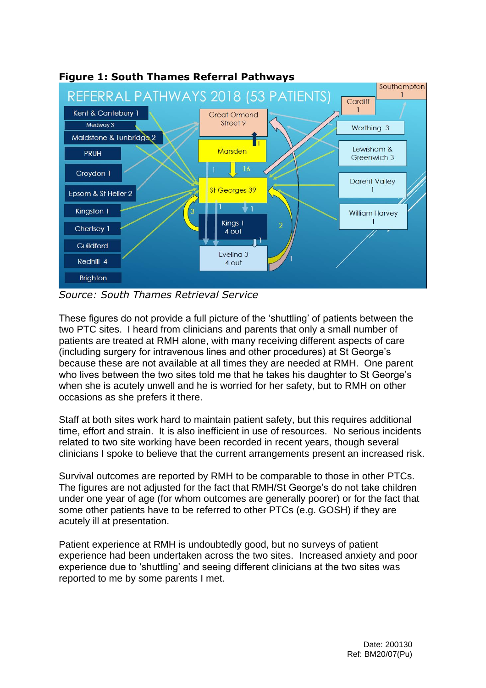

**Figure 1: South Thames Referral Pathways**

*Source: South Thames Retrieval Service*

These figures do not provide a full picture of the 'shuttling' of patients between the two PTC sites. I heard from clinicians and parents that only a small number of patients are treated at RMH alone, with many receiving different aspects of care (including surgery for intravenous lines and other procedures) at St George's because these are not available at all times they are needed at RMH. One parent who lives between the two sites told me that he takes his daughter to St George's when she is acutely unwell and he is worried for her safety, but to RMH on other occasions as she prefers it there.

Staff at both sites work hard to maintain patient safety, but this requires additional time, effort and strain. It is also inefficient in use of resources. No serious incidents related to two site working have been recorded in recent years, though several clinicians I spoke to believe that the current arrangements present an increased risk.

Survival outcomes are reported by RMH to be comparable to those in other PTCs. The figures are not adjusted for the fact that RMH/St George's do not take children under one year of age (for whom outcomes are generally poorer) or for the fact that some other patients have to be referred to other PTCs (e.g. GOSH) if they are acutely ill at presentation.

Patient experience at RMH is undoubtedly good, but no surveys of patient experience had been undertaken across the two sites. Increased anxiety and poor experience due to 'shuttling' and seeing different clinicians at the two sites was reported to me by some parents I met.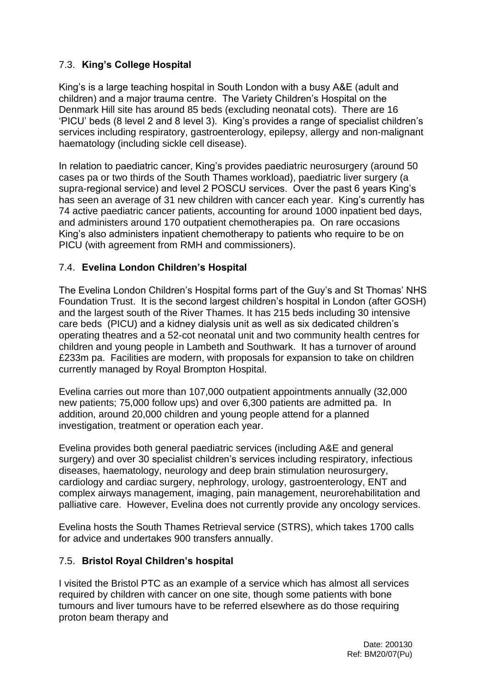# 7.3. **King's College Hospital**

King's is a large teaching hospital in South London with a busy A&E (adult and children) and a major trauma centre. The Variety Children's Hospital on the Denmark Hill site has around 85 beds (excluding neonatal cots). There are 16 'PICU' beds (8 level 2 and 8 level 3). King's provides a range of specialist children's services including respiratory, gastroenterology, epilepsy, allergy and non-malignant haematology (including sickle cell disease).

In relation to paediatric cancer, King's provides paediatric neurosurgery (around 50 cases pa or two thirds of the South Thames workload), paediatric liver surgery (a supra-regional service) and level 2 POSCU services. Over the past 6 years King's has seen an average of 31 new children with cancer each year. King's currently has 74 active paediatric cancer patients, accounting for around 1000 inpatient bed days, and administers around 170 outpatient chemotherapies pa. On rare occasions King's also administers inpatient chemotherapy to patients who require to be on PICU (with agreement from RMH and commissioners).

#### 7.4. **Evelina London Children's Hospital**

The Evelina London Children's Hospital forms part of the Guy's and St Thomas' NHS Foundation Trust. It is the second largest children's hospital in London (after GOSH) and the largest south of the River Thames. It has 215 beds including 30 intensive care beds (PICU) and a kidney dialysis unit as well as six dedicated children's operating theatres and a 52-cot neonatal unit and two community health centres for children and young people in Lambeth and Southwark. It has a turnover of around £233m pa. Facilities are modern, with proposals for expansion to take on children currently managed by Royal Brompton Hospital.

Evelina carries out more than 107,000 outpatient appointments annually (32,000 new patients; 75,000 follow ups) and over 6,300 patients are admitted pa. In addition, around 20,000 children and young people attend for a planned investigation, treatment or operation each year.

Evelina provides both general paediatric services (including A&E and general surgery) and over 30 specialist children's services including respiratory, infectious diseases, haematology, neurology and deep brain stimulation neurosurgery, cardiology and cardiac surgery, nephrology, urology, gastroenterology, ENT and complex airways management, imaging, pain management, neurorehabilitation and palliative care. However, Evelina does not currently provide any oncology services.

Evelina hosts the South Thames Retrieval service (STRS), which takes 1700 calls for advice and undertakes 900 transfers annually.

#### 7.5. **Bristol Royal Children's hospital**

I visited the Bristol PTC as an example of a service which has almost all services required by children with cancer on one site, though some patients with bone tumours and liver tumours have to be referred elsewhere as do those requiring proton beam therapy and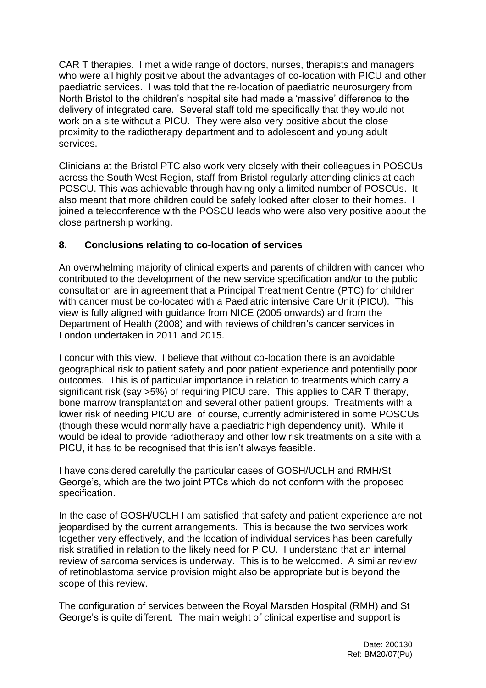CAR T therapies. I met a wide range of doctors, nurses, therapists and managers who were all highly positive about the advantages of co-location with PICU and other paediatric services. I was told that the re-location of paediatric neurosurgery from North Bristol to the children's hospital site had made a 'massive' difference to the delivery of integrated care. Several staff told me specifically that they would not work on a site without a PICU. They were also very positive about the close proximity to the radiotherapy department and to adolescent and young adult services.

Clinicians at the Bristol PTC also work very closely with their colleagues in POSCUs across the South West Region, staff from Bristol regularly attending clinics at each POSCU. This was achievable through having only a limited number of POSCUs. It also meant that more children could be safely looked after closer to their homes. I joined a teleconference with the POSCU leads who were also very positive about the close partnership working.

## **8. Conclusions relating to co-location of services**

An overwhelming majority of clinical experts and parents of children with cancer who contributed to the development of the new service specification and/or to the public consultation are in agreement that a Principal Treatment Centre (PTC) for children with cancer must be co-located with a Paediatric intensive Care Unit (PICU). This view is fully aligned with guidance from NICE (2005 onwards) and from the Department of Health (2008) and with reviews of children's cancer services in London undertaken in 2011 and 2015.

I concur with this view. I believe that without co-location there is an avoidable geographical risk to patient safety and poor patient experience and potentially poor outcomes. This is of particular importance in relation to treatments which carry a significant risk (say >5%) of requiring PICU care. This applies to CAR T therapy, bone marrow transplantation and several other patient groups. Treatments with a lower risk of needing PICU are, of course, currently administered in some POSCUs (though these would normally have a paediatric high dependency unit). While it would be ideal to provide radiotherapy and other low risk treatments on a site with a PICU, it has to be recognised that this isn't always feasible.

I have considered carefully the particular cases of GOSH/UCLH and RMH/St George's, which are the two joint PTCs which do not conform with the proposed specification.

In the case of GOSH/UCLH I am satisfied that safety and patient experience are not jeopardised by the current arrangements. This is because the two services work together very effectively, and the location of individual services has been carefully risk stratified in relation to the likely need for PICU. I understand that an internal review of sarcoma services is underway. This is to be welcomed. A similar review of retinoblastoma service provision might also be appropriate but is beyond the scope of this review.

The configuration of services between the Royal Marsden Hospital (RMH) and St George's is quite different. The main weight of clinical expertise and support is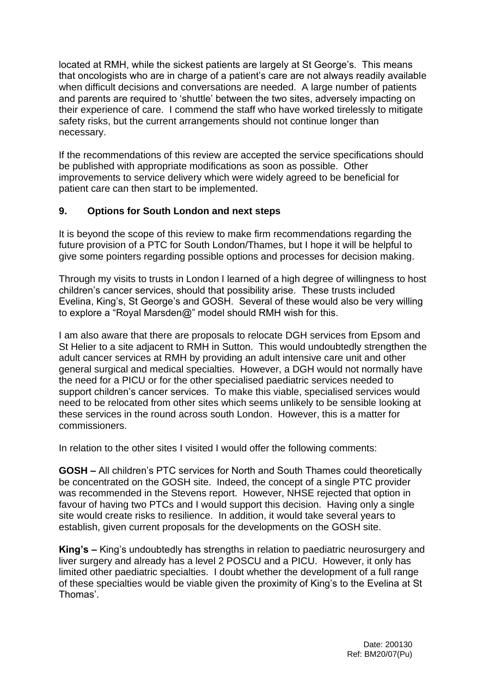located at RMH, while the sickest patients are largely at St George's. This means that oncologists who are in charge of a patient's care are not always readily available when difficult decisions and conversations are needed. A large number of patients and parents are required to 'shuttle' between the two sites, adversely impacting on their experience of care. I commend the staff who have worked tirelessly to mitigate safety risks, but the current arrangements should not continue longer than necessary.

If the recommendations of this review are accepted the service specifications should be published with appropriate modifications as soon as possible. Other improvements to service delivery which were widely agreed to be beneficial for patient care can then start to be implemented.

## **9. Options for South London and next steps**

It is beyond the scope of this review to make firm recommendations regarding the future provision of a PTC for South London/Thames, but I hope it will be helpful to give some pointers regarding possible options and processes for decision making.

Through my visits to trusts in London I learned of a high degree of willingness to host children's cancer services, should that possibility arise. These trusts included Evelina, King's, St George's and GOSH. Several of these would also be very willing to explore a "Royal Marsden@" model should RMH wish for this.

I am also aware that there are proposals to relocate DGH services from Epsom and St Helier to a site adjacent to RMH in Sutton. This would undoubtedly strengthen the adult cancer services at RMH by providing an adult intensive care unit and other general surgical and medical specialties. However, a DGH would not normally have the need for a PICU or for the other specialised paediatric services needed to support children's cancer services. To make this viable, specialised services would need to be relocated from other sites which seems unlikely to be sensible looking at these services in the round across south London. However, this is a matter for commissioners.

In relation to the other sites I visited I would offer the following comments:

**GOSH –** All children's PTC services for North and South Thames could theoretically be concentrated on the GOSH site. Indeed, the concept of a single PTC provider was recommended in the Stevens report. However, NHSE rejected that option in favour of having two PTCs and I would support this decision. Having only a single site would create risks to resilience. In addition, it would take several years to establish, given current proposals for the developments on the GOSH site.

**King's –** King's undoubtedly has strengths in relation to paediatric neurosurgery and liver surgery and already has a level 2 POSCU and a PICU. However, it only has limited other paediatric specialties. I doubt whether the development of a full range of these specialties would be viable given the proximity of King's to the Evelina at St Thomas'.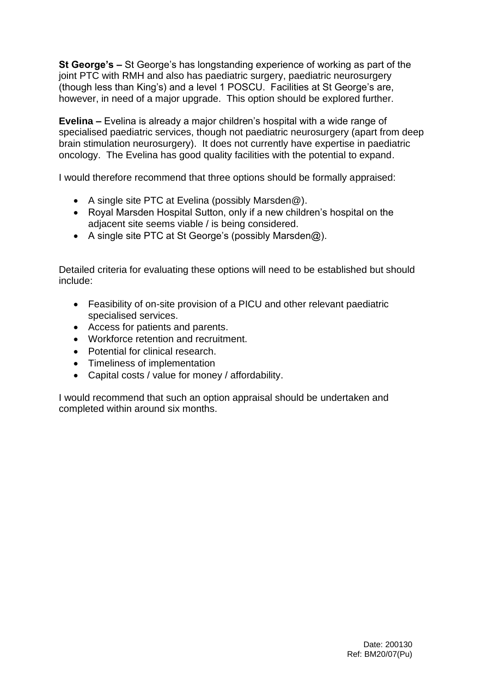**St George's –** St George's has longstanding experience of working as part of the joint PTC with RMH and also has paediatric surgery, paediatric neurosurgery (though less than King's) and a level 1 POSCU. Facilities at St George's are, however, in need of a major upgrade. This option should be explored further.

**Evelina –** Evelina is already a major children's hospital with a wide range of specialised paediatric services, though not paediatric neurosurgery (apart from deep brain stimulation neurosurgery). It does not currently have expertise in paediatric oncology. The Evelina has good quality facilities with the potential to expand.

I would therefore recommend that three options should be formally appraised:

- A single site PTC at Evelina (possibly Marsden@).
- Royal Marsden Hospital Sutton, only if a new children's hospital on the adjacent site seems viable / is being considered.
- A single site PTC at St George's (possibly Marsden@).

Detailed criteria for evaluating these options will need to be established but should include:

- Feasibility of on-site provision of a PICU and other relevant paediatric specialised services.
- Access for patients and parents.
- Workforce retention and recruitment.
- Potential for clinical research.
- Timeliness of implementation
- Capital costs / value for money / affordability.

I would recommend that such an option appraisal should be undertaken and completed within around six months.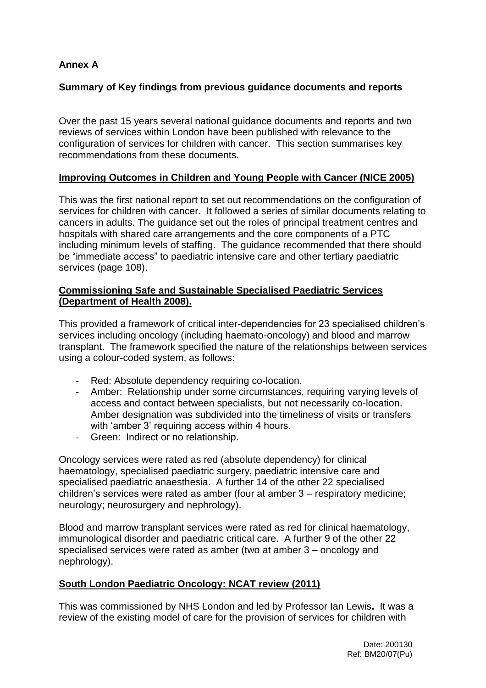# **Annex A**

#### **Summary of Key findings from previous guidance documents and reports**

Over the past 15 years several national guidance documents and reports and two reviews of services within London have been published with relevance to the configuration of services for children with cancer. This section summarises key recommendations from these documents.

#### **Improving Outcomes in Children and Young People with Cancer (NICE 2005)**

This was the first national report to set out recommendations on the configuration of services for children with cancer. It followed a series of similar documents relating to cancers in adults. The guidance set out the roles of principal treatment centres and hospitals with shared care arrangements and the core components of a PTC including minimum levels of staffing. The guidance recommended that there should be "immediate access" to paediatric intensive care and other tertiary paediatric services (page 108).

#### **Commissioning Safe and Sustainable Specialised Paediatric Services (Department of Health 2008).**

This provided a framework of critical inter-dependencies for 23 specialised children's services including oncology (including haemato-oncology) and blood and marrow transplant. The framework specified the nature of the relationships between services using a colour-coded system, as follows:

- Red: Absolute dependency requiring co-location.
- Amber: Relationship under some circumstances, requiring varying levels of access and contact between specialists, but not necessarily co-location. Amber designation was subdivided into the timeliness of visits or transfers with 'amber 3' requiring access within 4 hours.
- Green: Indirect or no relationship.

Oncology services were rated as red (absolute dependency) for clinical haematology, specialised paediatric surgery, paediatric intensive care and specialised paediatric anaesthesia. A further 14 of the other 22 specialised children's services were rated as amber (four at amber 3 – respiratory medicine; neurology; neurosurgery and nephrology).

Blood and marrow transplant services were rated as red for clinical haematology, immunological disorder and paediatric critical care. A further 9 of the other 22 specialised services were rated as amber (two at amber 3 – oncology and nephrology).

#### **South London Paediatric Oncology: NCAT review (2011)**

This was commissioned by NHS London and led by Professor Ian Lewis**.** It was a review of the existing model of care for the provision of services for children with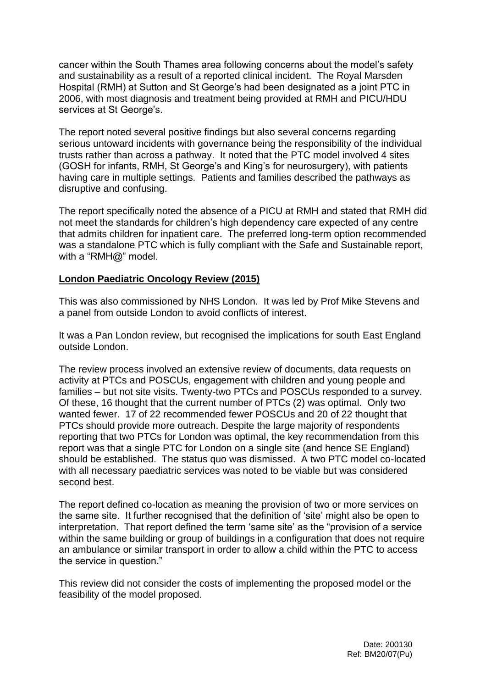cancer within the South Thames area following concerns about the model's safety and sustainability as a result of a reported clinical incident. The Royal Marsden Hospital (RMH) at Sutton and St George's had been designated as a joint PTC in 2006, with most diagnosis and treatment being provided at RMH and PICU/HDU services at St George's.

The report noted several positive findings but also several concerns regarding serious untoward incidents with governance being the responsibility of the individual trusts rather than across a pathway. It noted that the PTC model involved 4 sites (GOSH for infants, RMH, St George's and King's for neurosurgery), with patients having care in multiple settings. Patients and families described the pathways as disruptive and confusing.

The report specifically noted the absence of a PICU at RMH and stated that RMH did not meet the standards for children's high dependency care expected of any centre that admits children for inpatient care. The preferred long-term option recommended was a standalone PTC which is fully compliant with the Safe and Sustainable report, with a "RMH@" model.

#### **London Paediatric Oncology Review (2015)**

This was also commissioned by NHS London. It was led by Prof Mike Stevens and a panel from outside London to avoid conflicts of interest.

It was a Pan London review, but recognised the implications for south East England outside London.

The review process involved an extensive review of documents, data requests on activity at PTCs and POSCUs, engagement with children and young people and families – but not site visits. Twenty-two PTCs and POSCUs responded to a survey. Of these, 16 thought that the current number of PTCs (2) was optimal. Only two wanted fewer. 17 of 22 recommended fewer POSCUs and 20 of 22 thought that PTCs should provide more outreach. Despite the large majority of respondents reporting that two PTCs for London was optimal, the key recommendation from this report was that a single PTC for London on a single site (and hence SE England) should be established. The status quo was dismissed. A two PTC model co-located with all necessary paediatric services was noted to be viable but was considered second best.

The report defined co-location as meaning the provision of two or more services on the same site. It further recognised that the definition of 'site' might also be open to interpretation. That report defined the term 'same site' as the "provision of a service within the same building or group of buildings in a configuration that does not require an ambulance or similar transport in order to allow a child within the PTC to access the service in question."

This review did not consider the costs of implementing the proposed model or the feasibility of the model proposed.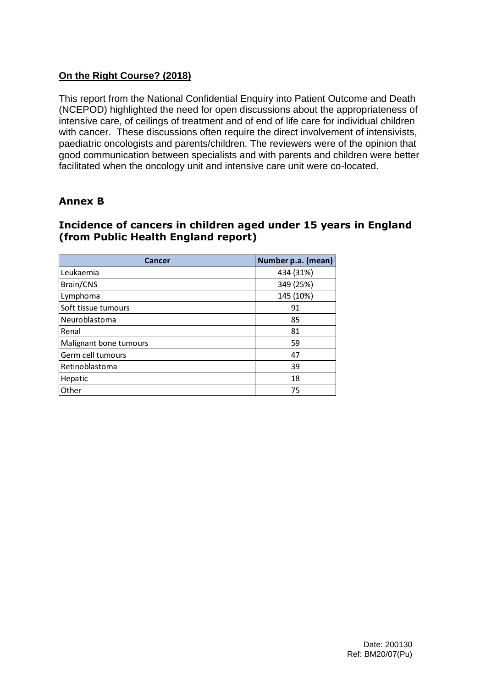## **On the Right Course? (2018)**

This report from the National Confidential Enquiry into Patient Outcome and Death (NCEPOD) highlighted the need for open discussions about the appropriateness of intensive care, of ceilings of treatment and of end of life care for individual children with cancer. These discussions often require the direct involvement of intensivists, paediatric oncologists and parents/children. The reviewers were of the opinion that good communication between specialists and with parents and children were better facilitated when the oncology unit and intensive care unit were co-located.

# **Annex B**

## **Incidence of cancers in children aged under 15 years in England (from Public Health England report)**

| Cancer                 | Number p.a. (mean) |
|------------------------|--------------------|
| Leukaemia              | 434 (31%)          |
| Brain/CNS              | 349 (25%)          |
| Lymphoma               | 145 (10%)          |
| Soft tissue tumours    | 91                 |
| Neuroblastoma          | 85                 |
| Renal                  | 81                 |
| Malignant bone tumours | 59                 |
| Germ cell tumours      | 47                 |
| Retinoblastoma         | 39                 |
| Hepatic                | 18                 |
| Other                  | 75                 |